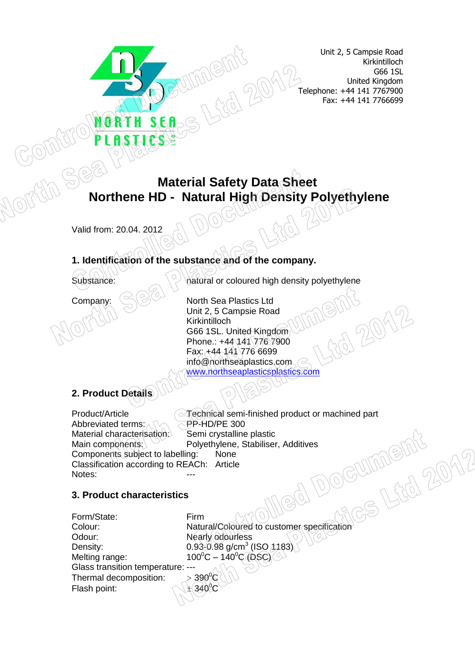Unit 2, 5 Campsie Road Kirkintilloch G66 1SL United Kingdom Telephone: +44 141 7767900 Fax: +44 141 7766699

# **Material Safety Data Sheet Northene HD - Natural High Density Polyethylene**

Valid from: 20.04. 2012

#### **1. Identification of the substance and of the company.**

SEA

Substance: **natural or coloured high density polyethylene** 

Company:  $\left(\frac{1}{2}\right)^{1/2}$  North Sea Plastics Ltd Unit 2, 5 Campsie Road Kirkintilloch G66 1SL. United Kingdom Phone.: +44 141 776 7900 Fax: +44 141 776 6699 info@northseaplastics.com [www.northseaplasticsplastics.com](http://www.northseaplasticsplastics.com/)

# **2. Product Details**

Product/Article <br>Abbreviated terms:  $\sqrt{ }$  PP-HD/PE 300 Abbreviated terms: Material characterisation: Semi crystalline plastic Main components: Polyethylene, Stabiliser, Additives Components subject to labelling: None Classification according to REACh: Article J DO Notes:

#### **3. Product characteristics**

| ADDIEVIALED LEITIIS.               | $T$ ישט בידור-                                |
|------------------------------------|-----------------------------------------------|
| Material characterisation:         | Semi crystalline plastic                      |
| Main components:                   | Polyethylene, Stabiliser, Additives           |
| Components subject to labelling:   | None                                          |
| Classification according to REACh: | Article                                       |
| Notes:                             |                                               |
| 3. Product characteristics         |                                               |
| Form/State:                        | Firm                                          |
| Colour:                            | Natural/Coloured to customer specification    |
| Odour:                             | Nearly odourless                              |
| Density:                           | $0.93 - 0.98$ g/cm <sup>3</sup> (ISO $1183$ ) |
| Melting range:                     | $100^{\circ}$ C – $140^{\circ}$ C (DSC)       |
| Glass transition temperature: ---  |                                               |
| Thermal decomposition:             | $>$ 390 $^{\circ}$ C                          |
| Flash point:                       | $\pm$ (340 <sup>°</sup> C                     |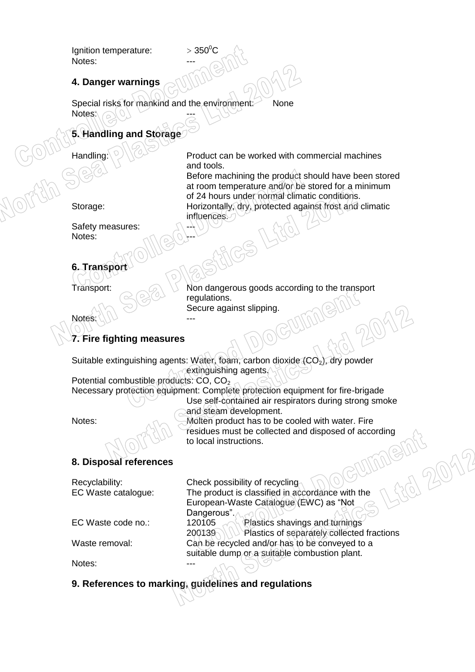Ignition temperature:  $> 350^{\circ}$ C Notes:

#### **4. Danger warnings**

Special risks for mankind and the environment: None Notes:

### **5. Handling and Storage**

Handling: Product can be worked with commercial machines and tools.

Before machining the product should have been stored at room temperature and/or be stored for a minimum of 24 hours under normal climatic conditions. Storage: Horizontally, dry, protected against frost and climatic influences.

Safety measures: Notes:

## **6. Transpor**

Notes:

Transport:  $\bigcirc$  Non dangerous goods according to the transport regulations. Secure against slipping.

## **7. Fire fighting measures**

Suitable extinguishing agents: Water, foam, carbon dioxide  $(CO<sub>2</sub>)$ , dry powder extinguishing agents.

Potential combustible products: CO, CO<sub>2</sub> Necessary protection equipment: Complete protection equipment for fire-brigade Use self-contained air respirators during strong smoke

and steam development.

Notes: Molten product has to be cooled with water. Fire to local instructions.

#### **8. Disposal references**

|                                       | residues must be collected and disposed of according<br>to local instructions.                                               |
|---------------------------------------|------------------------------------------------------------------------------------------------------------------------------|
| 8. Disposal references                |                                                                                                                              |
| Recyclability:<br>EC Waste catalogue: | Check possibility of recycling<br>The product is classified in accordance with the<br>European-Waste Catalogue (EWC) as "Not |
| EC Waste code no.:                    | Dangerous".<br>Plastics shavings and turnings<br>120105<br>Plastics of separately collected fractions<br>200139              |
| Waste removal:                        | Can be recycled and/or has to be conveyed to a<br>suitable dump or a suitable combustion plant.                              |
| Notes:                                |                                                                                                                              |

## **9. References to marking, guidelines and regulations**